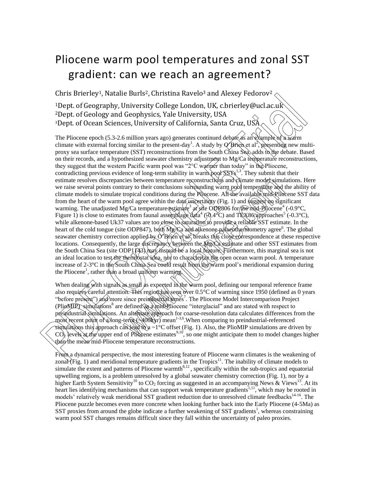## Pliocene warm pool temperatures and zonal SST gradient: can we reach an agreement?

Chris Brierley<sup>1</sup>, Natalie Burls<sup>2</sup>, Christina Ravelo<sup>3</sup> and Alexey Fedorov<sup>2</sup>.

<sup>1</sup>Dept. of Geography, University College London, UK, c.brierley@ucl.ac.uk <sup>2</sup>Dept. of Geology and Geophysics, Yale University, USA <sup>3</sup>Dept. of Ocean Sciences, University of California, Santa Cruz, USA

The Pliocene epoch (5.3-2.6 million years ago) generates continued debate as an example of a warm climate with external forcing similar to the present-day<sup>1</sup>. A study by  $\emptyset$  Brien et al<sup>2</sup>, presenting new multiproxy sea surface temperature (SST) reconstructions from the South China Sea, adds to the debate. Based on their records, and a hypothesized seawater chemistry adjustment to Mg/Ca temperature reconstructions, they suggest that the western Pacific warm pool was "2°C warmer than today" in the Pliocene, contradicting previous evidence of long-term stability in warm pool  $S S T s^{1,3}$ . They submit that their estimate resolves discrepancies between temperature reconstructions and climate model simulations. Here we raise several points contrary to their conclusions surrounding warm pool temperature and the ability of climate models to simulate tropical conditions during the Pliocene. All the available mid-Pliocene SST data from the heart of the warm pool agree within the data uncertainty (Fig. 1) and suggest no significant warming. The unadjusted Mg/Ca temperature estimate<sup>3</sup> at site ODP806 for the mid-Pliocene<sup>4</sup> (-0.9°C, Figure 1) is close to estimates from faunal assemblage data  $(6.4\degree C)$  and Tex86 approaches  $(0.3\degree C)$ , while alkenone-based Uk37 values are too *close* to saturation to provide a reliable SST estimate. In the heart of the cold tongue (site ODP847), both Mg/Ca and alkenone palae othermometry agree<sup>6</sup>. The global seawater chemistry correction applied by O'Brien et al<sup>2</sup> breaks this close correspondence at these respective locations. Consequently, the large discrepancy between the Mg/Ca estimate and other SST estimates from the South China Sea (site ODP1143) may instead be a local feature. Furthermore, this marginal sea is not an ideal location to test the thermostat idea, nor to characterize the open ocean warm pool. A temperature increase of 2-3°C in the South China Sea could result from the warm pool's meridional expansion during the Pliocene<sup>1</sup>, rather than a broad uniform warming. Units Directly), Wat[al](mailto:c.brierley@ucl.ac.uk)ue but is, CultiStual Katoru (2010)<br>
The priority of Ceology and Geophysics, Yale University USA<br>
To Fit Create properties (Fig. 10.1 CultiPreP (PubliC and ACC and ACC and ACC and ACC and Sciences pa

When dealing with signals as small as expected in the warm pool, defining our temporal reference frame also requires careful attention. This region has seen over 0.5°C of warming since 1950 (defined as 0 years "before present") and more since preindustrial times<sup>7</sup>. The Pliocene Model Intercomparison Project (PlioMIP) simulations<sup>8</sup> are defined as a mid-Pliocene "interglacial" and are stated with respect to preindustrial simulations. An alternate approach for coarse-resolution data calculates differences from the  $\frac{1}{2}$  most recent point of a long-term  $\rightarrow$  400k yr) mean<sup>1-3,6</sup>. When comparing to preindustrial-referenced simulations this approach can lead to a ~1°C offset (Fig. 1). Also, the PlioMIP simulations are driven by  $CQ_2$  levels at the upper end of Pliocene estimates<sup>9,10</sup>, so one might anticipate them to model changes higher than the mean mid-Pliocene temperature reconstructions.

From a dynamical perspective, the most interesting feature of Pliocene warm climates is the weakening of zonal (Fig. 1) and meridional temperature gradients in the  $Tropics<sup>11</sup>$ . The inability of climate models to simulate the extent and patterns of Pliocene warmth $8,12$ , specifically within the sub-tropics and equatorial upwelling regions, is a problem unresolved by a global seawater chemistry correction (Fig. 1), nor by a higher Earth System Sensitivity<sup>10</sup> to CO<sub>2</sub> forcing as suggested in an accompanying News & Views<sup>13</sup>. At its heart lies identifying mechanisms that can support weak temperature gradients<sup>1,11</sup>, which may be rooted in models' relatively weak meridional SST gradient reduction due to unresolved climate feedbacks<sup>14-16</sup>. The Pliocene puzzle becomes even more concrete when looking further back into the Early Pliocene (4-5Ma) as SST proxies from around the globe indicate a further weakening of SST gradients<sup>1</sup>, whereas constraining warm pool SST changes remains difficult since they fall within the uncertainty of paleo proxies.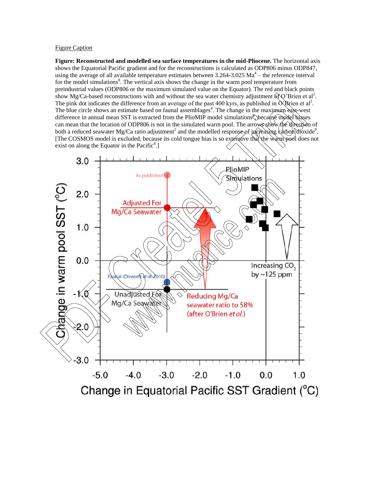## Figure Caption

**Figure: Reconstructed and modelled sea surface temperatures in the mid-Pliocene.** The horizontal axis shows the Equatorial Pacific gradient and for the reconstructions is calculated as ODP806 minus ODP847, using the average of all available temperature estimates between  $3.264 - 3.025$  Ma<sup>4</sup> – the reference interval for the model simulations<sup>8</sup>. The vertical axis shows the change in the warm pool temperature from preindustrial values (ODP806 or the maximum simulated value on the Equator). The red and black points show Mg/Ca-based reconstructions with and without the sea water chemistry adjustment  $\hat{O}$  Brien et al<sup>2</sup>. The pink dot indicates the difference from an average of the past 400 kyrs, as published in  $O\$ Brien et al<sup>2</sup>. The blue circle shows an estimate based on faunal assemblages<sup>4</sup>. The change in the maximum east-west difference in annual mean SST is extracted from the PlioMIP model simulations, because model biases can mean that the location of ODP806 is not in the simulated warm pool. The arrows show the direction of both a reduced seawater Mg/Ca ratio adjustment<sup>2</sup> and the modelled response of increasing carbon dioxide<sup>8</sup>. [The COSMOS model is excluded, because its cold tongue bias is so extensive that the warm pool does not exist on along the Equator in the Pacific $8$ .